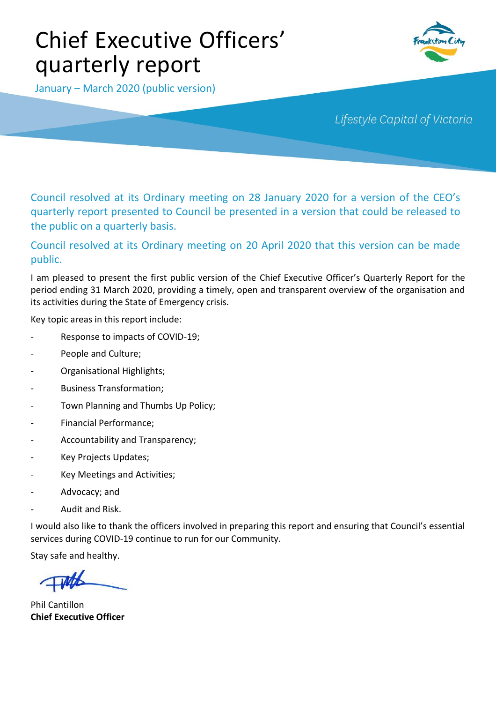# Chief Executive Officers' quarterly report



January – March 2020 (public version)

Lifestyle Capital of Victoria

Council resolved at its Ordinary meeting on 28 January 2020 for a version of the CEO's quarterly report presented to Council be presented in a version that could be released to the public on a quarterly basis.

## Council resolved at its Ordinary meeting on 20 April 2020 that this version can be made public.

I am pleased to present the first public version of the Chief Executive Officer's Quarterly Report for the period ending 31 March 2020, providing a timely, open and transparent overview of the organisation and its activities during the State of Emergency crisis.

Key topic areas in this report include:

- Response to impacts of COVID-19;
- People and Culture;
- Organisational Highlights;
- Business Transformation;
- Town Planning and Thumbs Up Policy;
- Financial Performance;
- Accountability and Transparency;
- Key Projects Updates;
- Key Meetings and Activities;
- Advocacy; and
- Audit and Risk.

I would also like to thank the officers involved in preparing this report and ensuring that Council's essential services during COVID-19 continue to run for our Community.

Stay safe and healthy.

Phil Cantillon **Chief Executive Officer**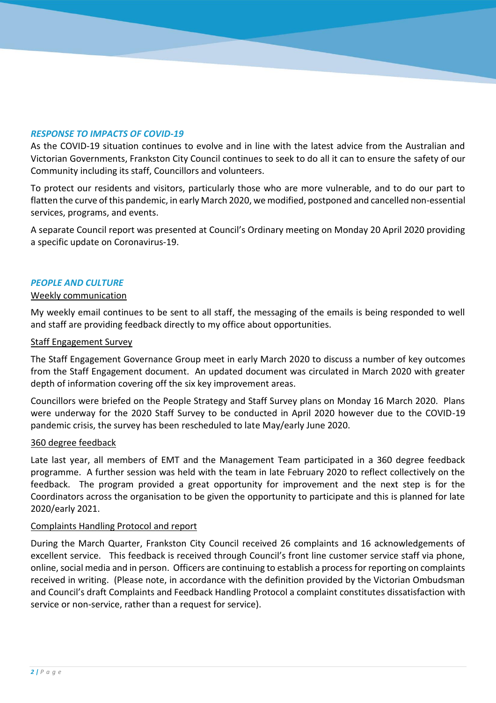### *RESPONSE TO IMPACTS OF COVID-19*

As the COVID-19 situation continues to evolve and in line with the latest advice from the Australian and Victorian Governments, Frankston City Council continues to seek to do all it can to ensure the safety of our Community including its staff, Councillors and volunteers.

To protect our residents and visitors, particularly those who are more vulnerable, and to do our part to flatten the curve of this pandemic, in early March 2020, we modified, postponed and cancelled non-essential services, programs, and events.

A separate Council report was presented at Council's Ordinary meeting on Monday 20 April 2020 providing a specific update on Coronavirus-19.

#### *PEOPLE AND CULTURE*

#### Weekly communication

My weekly email continues to be sent to all staff, the messaging of the emails is being responded to well and staff are providing feedback directly to my office about opportunities.

#### Staff Engagement Survey

The Staff Engagement Governance Group meet in early March 2020 to discuss a number of key outcomes from the Staff Engagement document. An updated document was circulated in March 2020 with greater depth of information covering off the six key improvement areas.

Councillors were briefed on the People Strategy and Staff Survey plans on Monday 16 March 2020. Plans were underway for the 2020 Staff Survey to be conducted in April 2020 however due to the COVID-19 pandemic crisis, the survey has been rescheduled to late May/early June 2020.

#### 360 degree feedback

Late last year, all members of EMT and the Management Team participated in a 360 degree feedback programme. A further session was held with the team in late February 2020 to reflect collectively on the feedback. The program provided a great opportunity for improvement and the next step is for the Coordinators across the organisation to be given the opportunity to participate and this is planned for late 2020/early 2021.

#### Complaints Handling Protocol and report

During the March Quarter, Frankston City Council received 26 complaints and 16 acknowledgements of excellent service. This feedback is received through Council's front line customer service staff via phone, online, social media and in person. Officers are continuing to establish a process for reporting on complaints received in writing. (Please note, in accordance with the definition provided by the Victorian Ombudsman and Council's draft Complaints and Feedback Handling Protocol a complaint constitutes dissatisfaction with service or non-service, rather than a request for service).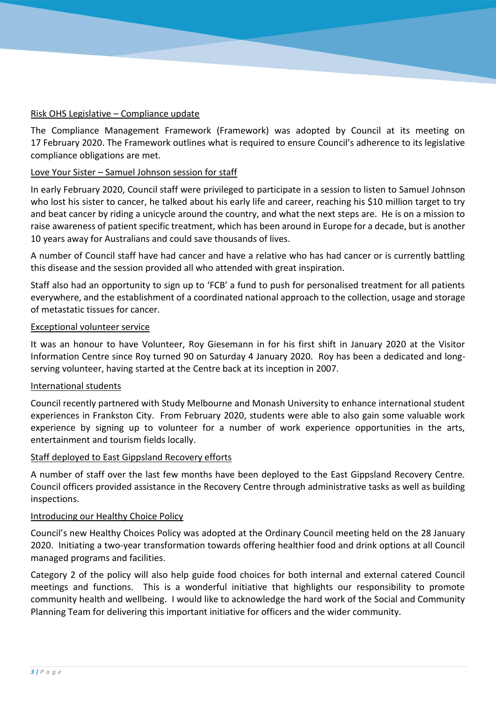## Risk OHS Legislative – Compliance update

The Compliance Management Framework (Framework) was adopted by Council at its meeting on 17 February 2020. The Framework outlines what is required to ensure Council's adherence to its legislative compliance obligations are met.

## Love Your Sister – Samuel Johnson session for staff

In early February 2020, Council staff were privileged to participate in a session to listen to Samuel Johnson who lost his sister to cancer, he talked about his early life and career, reaching his \$10 million target to try and beat cancer by riding a unicycle around the country, and what the next steps are. He is on a mission to raise awareness of patient specific treatment, which has been around in Europe for a decade, but is another 10 years away for Australians and could save thousands of lives.

A number of Council staff have had cancer and have a relative who has had cancer or is currently battling this disease and the session provided all who attended with great inspiration.

Staff also had an opportunity to sign up to 'FCB' a fund to push for personalised treatment for all patients everywhere, and the establishment of a coordinated national approach to the collection, usage and storage of metastatic tissues for cancer.

#### Exceptional volunteer service

It was an honour to have Volunteer, Roy Giesemann in for his first shift in January 2020 at the Visitor Information Centre since Roy turned 90 on Saturday 4 January 2020. Roy has been a dedicated and longserving volunteer, having started at the Centre back at its inception in 2007.

#### International students

Council recently partnered with Study Melbourne and Monash University to enhance international student experiences in Frankston City. From February 2020, students were able to also gain some valuable work experience by signing up to volunteer for a number of work experience opportunities in the arts, entertainment and tourism fields locally.

#### Staff deployed to East Gippsland Recovery efforts

A number of staff over the last few months have been deployed to the East Gippsland Recovery Centre. Council officers provided assistance in the Recovery Centre through administrative tasks as well as building inspections.

#### Introducing our Healthy Choice Policy

Council's new Healthy Choices Policy was adopted at the Ordinary Council meeting held on the 28 January 2020. Initiating a two-year transformation towards offering healthier food and drink options at all Council managed programs and facilities.

Category 2 of the policy will also help guide food choices for both internal and external catered Council meetings and functions. This is a wonderful initiative that highlights our responsibility to promote community health and wellbeing. I would like to acknowledge the hard work of the Social and Community Planning Team for delivering this important initiative for officers and the wider community.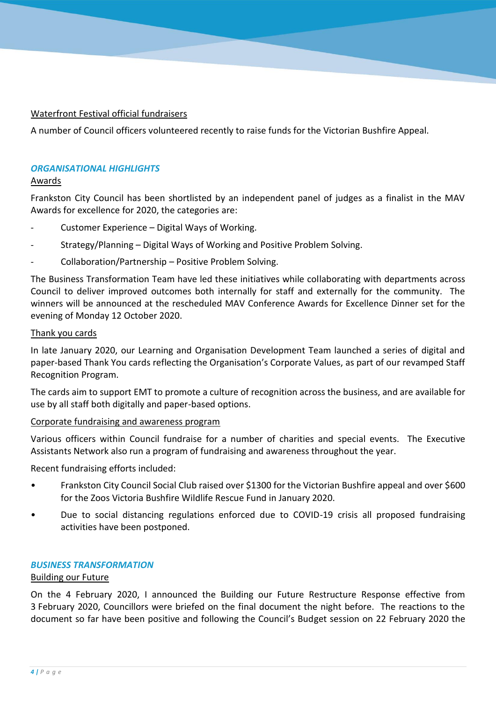## Waterfront Festival official fundraisers

A number of Council officers volunteered recently to raise funds for the Victorian Bushfire Appeal.

#### *ORGANISATIONAL HIGHLIGHTS*

#### Awards

Frankston City Council has been shortlisted by an independent panel of judges as a finalist in the MAV Awards for excellence for 2020, the categories are:

- Customer Experience Digital Ways of Working.
- Strategy/Planning Digital Ways of Working and Positive Problem Solving.
- Collaboration/Partnership Positive Problem Solving.

The Business Transformation Team have led these initiatives while collaborating with departments across Council to deliver improved outcomes both internally for staff and externally for the community. The winners will be announced at the rescheduled MAV Conference Awards for Excellence Dinner set for the evening of Monday 12 October 2020.

#### Thank you cards

In late January 2020, our Learning and Organisation Development Team launched a series of digital and paper-based Thank You cards reflecting the Organisation's Corporate Values, as part of our revamped Staff Recognition Program.

The cards aim to support EMT to promote a culture of recognition across the business, and are available for use by all staff both digitally and paper-based options.

## Corporate fundraising and awareness program

Various officers within Council fundraise for a number of charities and special events. The Executive Assistants Network also run a program of fundraising and awareness throughout the year.

Recent fundraising efforts included:

- Frankston City Council Social Club raised over \$1300 for the Victorian Bushfire appeal and over \$600 for the Zoos Victoria Bushfire Wildlife Rescue Fund in January 2020.
- Due to social distancing regulations enforced due to COVID-19 crisis all proposed fundraising activities have been postponed.

#### *BUSINESS TRANSFORMATION*

#### Building our Future

On the 4 February 2020, I announced the Building our Future Restructure Response effective from 3 February 2020, Councillors were briefed on the final document the night before. The reactions to the document so far have been positive and following the Council's Budget session on 22 February 2020 the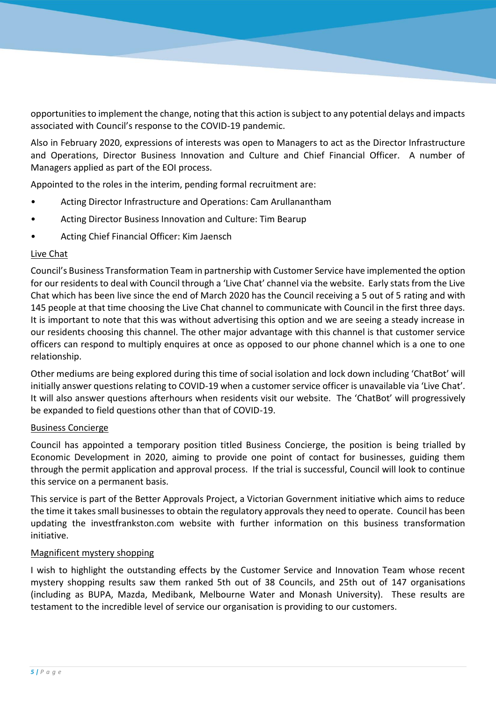opportunities to implement the change, noting that this action is subject to any potential delays and impacts associated with Council's response to the COVID-19 pandemic.

Also in February 2020, expressions of interests was open to Managers to act as the Director Infrastructure and Operations, Director Business Innovation and Culture and Chief Financial Officer. A number of Managers applied as part of the EOI process.

Appointed to the roles in the interim, pending formal recruitment are:

- Acting Director Infrastructure and Operations: Cam Arullanantham
- Acting Director Business Innovation and Culture: Tim Bearup
- Acting Chief Financial Officer: Kim Jaensch

## Live Chat

Council's Business Transformation Team in partnership with Customer Service have implemented the option for our residents to deal with Council through a 'Live Chat' channel via the website. Early stats from the Live Chat which has been live since the end of March 2020 has the Council receiving a 5 out of 5 rating and with 145 people at that time choosing the Live Chat channel to communicate with Council in the first three days. It is important to note that this was without advertising this option and we are seeing a steady increase in our residents choosing this channel. The other major advantage with this channel is that customer service officers can respond to multiply enquires at once as opposed to our phone channel which is a one to one relationship.

Other mediums are being explored during this time of social isolation and lock down including 'ChatBot' will initially answer questions relating to COVID-19 when a customer service officer is unavailable via 'Live Chat'. It will also answer questions afterhours when residents visit our website. The 'ChatBot' will progressively be expanded to field questions other than that of COVID-19.

#### Business Concierge

Council has appointed a temporary position titled Business Concierge, the position is being trialled by Economic Development in 2020, aiming to provide one point of contact for businesses, guiding them through the permit application and approval process. If the trial is successful, Council will look to continue this service on a permanent basis.

This service is part of the Better Approvals Project, a Victorian Government initiative which aims to reduce the time it takes small businesses to obtain the regulatory approvals they need to operate. Council has been updating the investfrankston.com website with further information on this business transformation initiative.

#### Magnificent mystery shopping

I wish to highlight the outstanding effects by the Customer Service and Innovation Team whose recent mystery shopping results saw them ranked 5th out of 38 Councils, and 25th out of 147 organisations (including as BUPA, Mazda, Medibank, Melbourne Water and Monash University). These results are testament to the incredible level of service our organisation is providing to our customers.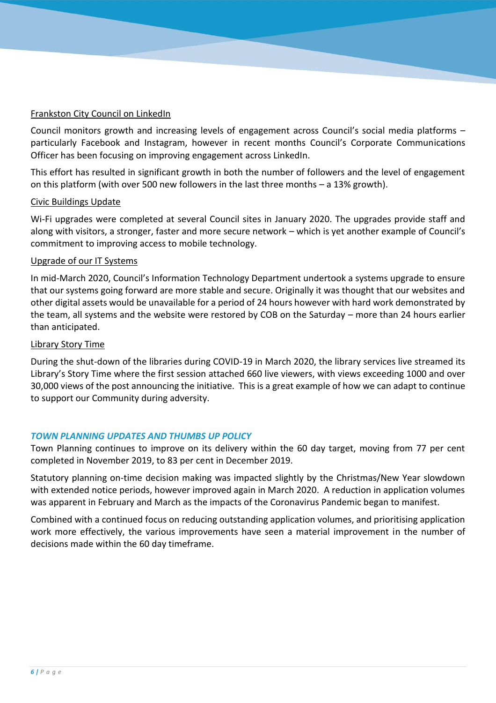## Frankston City Council on LinkedIn

Council monitors growth and increasing levels of engagement across Council's social media platforms – particularly Facebook and Instagram, however in recent months Council's Corporate Communications Officer has been focusing on improving engagement across LinkedIn.

This effort has resulted in significant growth in both the number of followers and the level of engagement on this platform (with over 500 new followers in the last three months – a 13% growth).

#### Civic Buildings Update

Wi-Fi upgrades were completed at several Council sites in January 2020. The upgrades provide staff and along with visitors, a stronger, faster and more secure network – which is yet another example of Council's commitment to improving access to mobile technology.

#### Upgrade of our IT Systems

In mid-March 2020, Council's Information Technology Department undertook a systems upgrade to ensure that our systems going forward are more stable and secure. Originally it was thought that our websites and other digital assets would be unavailable for a period of 24 hours however with hard work demonstrated by the team, all systems and the website were restored by COB on the Saturday – more than 24 hours earlier than anticipated.

#### Library Story Time

During the shut-down of the libraries during COVID-19 in March 2020, the library services live streamed its Library's Story Time where the first session attached 660 live viewers, with views exceeding 1000 and over 30,000 views of the post announcing the initiative. This is a great example of how we can adapt to continue to support our Community during adversity.

## *TOWN PLANNING UPDATES AND THUMBS UP POLICY*

Town Planning continues to improve on its delivery within the 60 day target, moving from 77 per cent completed in November 2019, to 83 per cent in December 2019.

Statutory planning on-time decision making was impacted slightly by the Christmas/New Year slowdown with extended notice periods, however improved again in March 2020. A reduction in application volumes was apparent in February and March as the impacts of the Coronavirus Pandemic began to manifest.

Combined with a continued focus on reducing outstanding application volumes, and prioritising application work more effectively, the various improvements have seen a material improvement in the number of decisions made within the 60 day timeframe.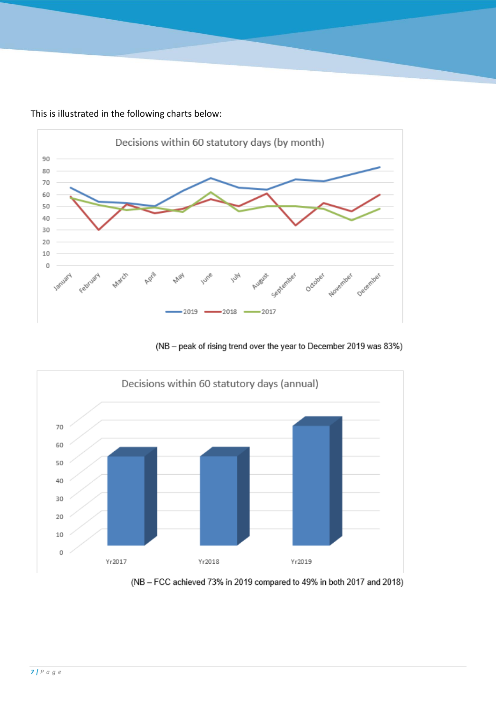This is illustrated in the following charts below:



(NB - peak of rising trend over the year to December 2019 was 83%)



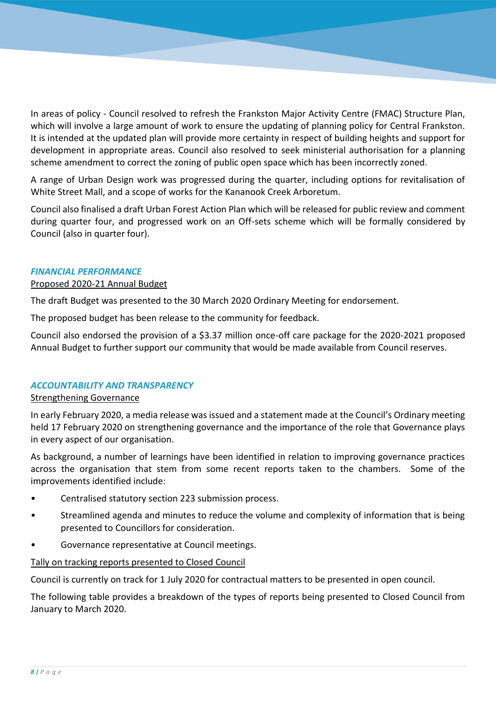In areas of policy - Council resolved to refresh the Frankston Major Activity Centre (FMAC) Structure Plan, which will involve a large amount of work to ensure the updating of planning policy for Central Frankston. It is intended at the updated plan will provide more certainty in respect of building heights and support for development in appropriate areas. Council also resolved to seek ministerial authorisation for a planning scheme amendment to correct the zoning of public open space which has been incorrectly zoned.

A range of Urban Design work was progressed during the quarter, including options for revitalisation of White Street Mall, and a scope of works for the Kananook Creek Arboretum.

Council also finalised a draft Urban Forest Action Plan which will be released for public review and comment during quarter four, and progressed work on an Off-sets scheme which will be formally considered by Council (also in quarter four).

#### *FINANCIAL PERFORMANCE*

## Proposed 2020-21 Annual Budget

The draft Budget was presented to the 30 March 2020 Ordinary Meeting for endorsement.

The proposed budget has been release to the community for feedback.

Council also endorsed the provision of a \$3.37 million once-off care package for the 2020-2021 proposed Annual Budget to further support our community that would be made available from Council reserves.

## *ACCOUNTABILITY AND TRANSPARENCY*

#### Strengthening Governance

In early February 2020, a media release was issued and a statement made at the Council's Ordinary meeting held 17 February 2020 on strengthening governance and the importance of the role that Governance plays in every aspect of our organisation.

As background, a number of learnings have been identified in relation to improving governance practices across the organisation that stem from some recent reports taken to the chambers. Some of the improvements identified include:

- Centralised statutory section 223 submission process.
- Streamlined agenda and minutes to reduce the volume and complexity of information that is being presented to Councillors for consideration.
- Governance representative at Council meetings.

## Tally on tracking reports presented to Closed Council

Council is currently on track for 1 July 2020 for contractual matters to be presented in open council.

The following table provides a breakdown of the types of reports being presented to Closed Council from January to March 2020.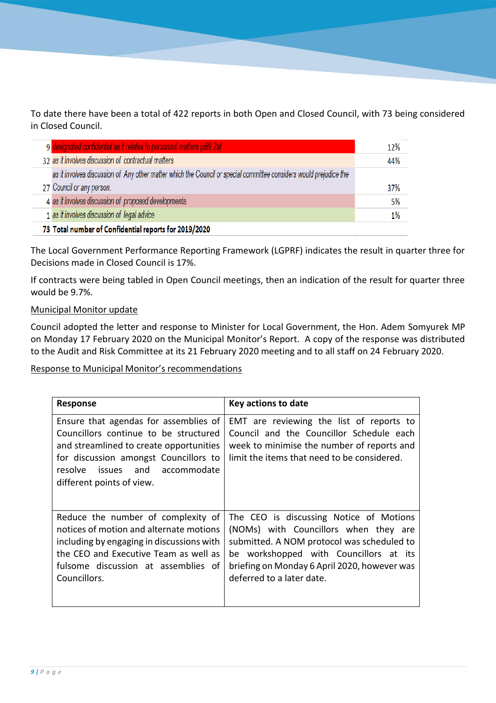To date there have been a total of 422 reports in both Open and Closed Council, with 73 being considered in Closed Council.

|                                                       | 9 designated confidential as it relates to personnel matters (s89 2a)                                              | 12% |  |
|-------------------------------------------------------|--------------------------------------------------------------------------------------------------------------------|-----|--|
|                                                       | 32 as it involves discussion of contractual matters                                                                | 44% |  |
|                                                       | as it involves discussion of Any other matter which the Council or special committee considers would prejudice the |     |  |
|                                                       | 27 Council or any person.                                                                                          | 37% |  |
|                                                       | 4 as it involves discussion of proposed developments.                                                              | 5%  |  |
|                                                       | 1 as it involves discussion of legal advice                                                                        | 1%  |  |
| 73 Total number of Confidential reports for 2019/2020 |                                                                                                                    |     |  |

The Local Government Performance Reporting Framework (LGPRF) indicates the result in quarter three for Decisions made in Closed Council is 17%.

If contracts were being tabled in Open Council meetings, then an indication of the result for quarter three would be 9.7%.

## Municipal Monitor update

Council adopted the letter and response to Minister for Local Government, the Hon. Adem Somyurek MP on Monday 17 February 2020 on the Municipal Monitor's Report. A copy of the response was distributed to the Audit and Risk Committee at its 21 February 2020 meeting and to all staff on 24 February 2020.

## Response to Municipal Monitor's recommendations

| <b>Response</b>                                                                                                                                                                                                                      | Key actions to date                                                                                                                                                                                                                                   |
|--------------------------------------------------------------------------------------------------------------------------------------------------------------------------------------------------------------------------------------|-------------------------------------------------------------------------------------------------------------------------------------------------------------------------------------------------------------------------------------------------------|
| Ensure that agendas for assemblies of<br>Councillors continue to be structured<br>and streamlined to create opportunities<br>for discussion amongst Councillors to<br>issues and accommodate<br>resolve<br>different points of view. | EMT are reviewing the list of reports to<br>Council and the Councillor Schedule each<br>week to minimise the number of reports and<br>limit the items that need to be considered.                                                                     |
| Reduce the number of complexity of<br>notices of motion and alternate motions<br>including by engaging in discussions with<br>the CEO and Executive Team as well as<br>fulsome discussion at assemblies of<br>Councillors.           | The CEO is discussing Notice of Motions<br>(NOMs) with Councillors when they are<br>submitted. A NOM protocol was scheduled to<br>be workshopped with Councillors at its<br>briefing on Monday 6 April 2020, however was<br>deferred to a later date. |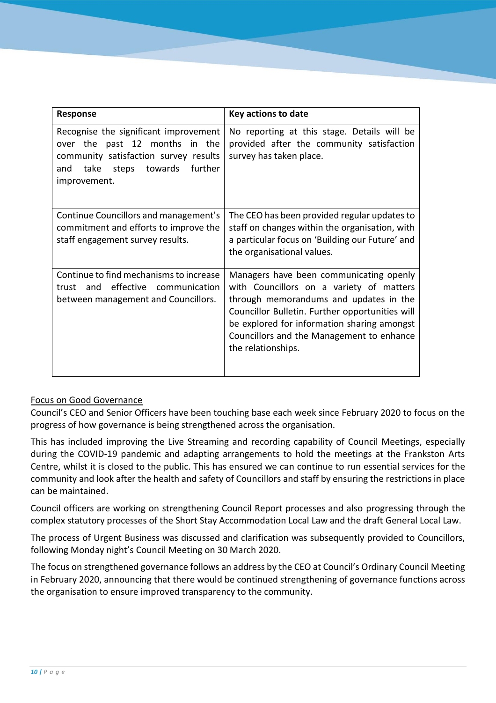| Response                                                                                                                                                                    | Key actions to date                                                                                                                                                                                                                                                                                |
|-----------------------------------------------------------------------------------------------------------------------------------------------------------------------------|----------------------------------------------------------------------------------------------------------------------------------------------------------------------------------------------------------------------------------------------------------------------------------------------------|
| Recognise the significant improvement<br>over the past 12 months in the<br>community satisfaction survey results<br>further<br>take steps<br>towards<br>and<br>improvement. | No reporting at this stage. Details will be<br>provided after the community satisfaction<br>survey has taken place.                                                                                                                                                                                |
| Continue Councillors and management's<br>commitment and efforts to improve the<br>staff engagement survey results.                                                          | The CEO has been provided regular updates to<br>staff on changes within the organisation, with<br>a particular focus on 'Building our Future' and<br>the organisational values.                                                                                                                    |
| Continue to find mechanisms to increase<br>effective communication<br>and<br>trust<br>between management and Councillors.                                                   | Managers have been communicating openly<br>with Councillors on a variety of matters<br>through memorandums and updates in the<br>Councillor Bulletin. Further opportunities will<br>be explored for information sharing amongst<br>Councillors and the Management to enhance<br>the relationships. |

## Focus on Good Governance

Council's CEO and Senior Officers have been touching base each week since February 2020 to focus on the progress of how governance is being strengthened across the organisation.

This has included improving the Live Streaming and recording capability of Council Meetings, especially during the COVID-19 pandemic and adapting arrangements to hold the meetings at the Frankston Arts Centre, whilst it is closed to the public. This has ensured we can continue to run essential services for the community and look after the health and safety of Councillors and staff by ensuring the restrictions in place can be maintained.

Council officers are working on strengthening Council Report processes and also progressing through the complex statutory processes of the Short Stay Accommodation Local Law and the draft General Local Law.

The process of Urgent Business was discussed and clarification was subsequently provided to Councillors, following Monday night's Council Meeting on 30 March 2020.

The focus on strengthened governance follows an address by the CEO at Council's Ordinary Council Meeting in February 2020, announcing that there would be continued strengthening of governance functions across the organisation to ensure improved transparency to the community.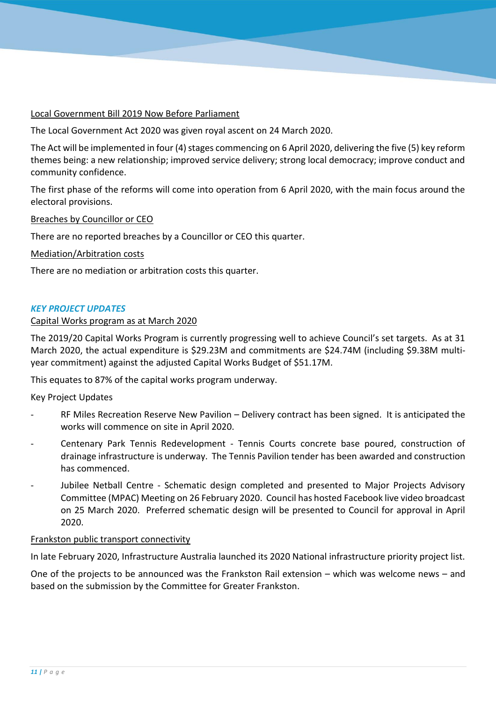## Local Government Bill 2019 Now Before Parliament

The Local Government Act 2020 was given royal ascent on 24 March 2020.

The Act will be implemented in four (4) stages commencing on 6 April 2020, delivering the five (5) key reform themes being: a new relationship; improved service delivery; strong local democracy; improve conduct and community confidence.

The first phase of the reforms will come into operation from 6 April 2020, with the main focus around the electoral provisions.

Breaches by Councillor or CEO

There are no reported breaches by a Councillor or CEO this quarter.

Mediation/Arbitration costs

There are no mediation or arbitration costs this quarter.

#### *KEY PROJECT UPDATES*

#### Capital Works program as at March 2020

The 2019/20 Capital Works Program is currently progressing well to achieve Council's set targets. As at 31 March 2020, the actual expenditure is \$29.23M and commitments are \$24.74M (including \$9.38M multiyear commitment) against the adjusted Capital Works Budget of \$51.17M.

This equates to 87% of the capital works program underway.

Key Project Updates

- RF Miles Recreation Reserve New Pavilion Delivery contract has been signed. It is anticipated the works will commence on site in April 2020.
- Centenary Park Tennis Redevelopment Tennis Courts concrete base poured, construction of drainage infrastructure is underway. The Tennis Pavilion tender has been awarded and construction has commenced.
- Jubilee Netball Centre Schematic design completed and presented to Major Projects Advisory Committee (MPAC) Meeting on 26 February 2020. Council has hosted Facebook live video broadcast on 25 March 2020. Preferred schematic design will be presented to Council for approval in April 2020.

#### Frankston public transport connectivity

In late February 2020, Infrastructure Australia launched its 2020 National infrastructure priority project list.

One of the projects to be announced was the Frankston Rail extension – which was welcome news – and based on the submission by the Committee for Greater Frankston.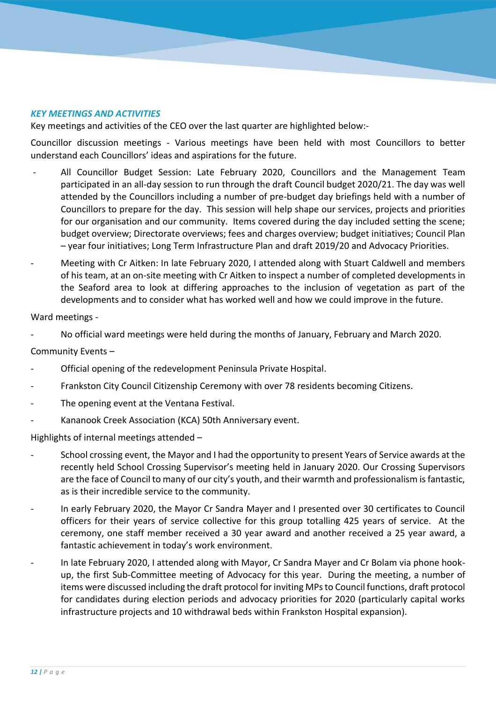## *KEY MEETINGS AND ACTIVITIES*

Key meetings and activities of the CEO over the last quarter are highlighted below:-

Councillor discussion meetings - Various meetings have been held with most Councillors to better understand each Councillors' ideas and aspirations for the future.

- All Councillor Budget Session: Late February 2020, Councillors and the Management Team participated in an all-day session to run through the draft Council budget 2020/21. The day was well attended by the Councillors including a number of pre-budget day briefings held with a number of Councillors to prepare for the day. This session will help shape our services, projects and priorities for our organisation and our community. Items covered during the day included setting the scene; budget overview; Directorate overviews; fees and charges overview; budget initiatives; Council Plan – year four initiatives; Long Term Infrastructure Plan and draft 2019/20 and Advocacy Priorities.
- Meeting with Cr Aitken: In late February 2020, I attended along with Stuart Caldwell and members of his team, at an on-site meeting with Cr Aitken to inspect a number of completed developments in the Seaford area to look at differing approaches to the inclusion of vegetation as part of the developments and to consider what has worked well and how we could improve in the future.

#### Ward meetings -

- No official ward meetings were held during the months of January, February and March 2020.

#### Community Events –

- Official opening of the redevelopment Peninsula Private Hospital.
- Frankston City Council Citizenship Ceremony with over 78 residents becoming Citizens.
- The opening event at the Ventana Festival.
- Kananook Creek Association (KCA) 50th Anniversary event.

Highlights of internal meetings attended –

- School crossing event, the Mayor and I had the opportunity to present Years of Service awards at the recently held School Crossing Supervisor's meeting held in January 2020. Our Crossing Supervisors are the face of Council to many of our city's youth, and their warmth and professionalism is fantastic, as is their incredible service to the community.
- In early February 2020, the Mayor Cr Sandra Mayer and I presented over 30 certificates to Council officers for their years of service collective for this group totalling 425 years of service. At the ceremony, one staff member received a 30 year award and another received a 25 year award, a fantastic achievement in today's work environment.
- In late February 2020, I attended along with Mayor, Cr Sandra Mayer and Cr Bolam via phone hookup, the first Sub-Committee meeting of Advocacy for this year. During the meeting, a number of items were discussed including the draft protocol for inviting MPs to Council functions, draft protocol for candidates during election periods and advocacy priorities for 2020 (particularly capital works infrastructure projects and 10 withdrawal beds within Frankston Hospital expansion).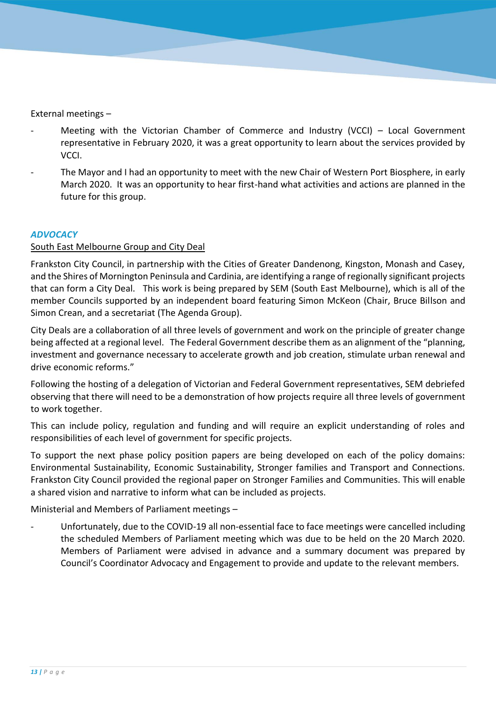External meetings –

- Meeting with the Victorian Chamber of Commerce and Industry (VCCI) Local Government representative in February 2020, it was a great opportunity to learn about the services provided by VCCI.
- The Mayor and I had an opportunity to meet with the new Chair of Western Port Biosphere, in early March 2020. It was an opportunity to hear first-hand what activities and actions are planned in the future for this group.

#### *ADVOCACY*

## South East Melbourne Group and City Deal

Frankston City Council, in partnership with the Cities of Greater Dandenong, Kingston, Monash and Casey, and the Shires of Mornington Peninsula and Cardinia, are identifying a range of regionally significant projects that can form a City Deal. This work is being prepared by SEM (South East Melbourne), which is all of the member Councils supported by an independent board featuring Simon McKeon (Chair, Bruce Billson and Simon Crean, and a secretariat (The Agenda Group).

City Deals are a collaboration of all three levels of government and work on the principle of greater change being affected at a regional level. The Federal Government describe them as an alignment of the "planning, investment and governance necessary to accelerate growth and job creation, stimulate urban renewal and drive economic reforms."

Following the hosting of a delegation of Victorian and Federal Government representatives, SEM debriefed observing that there will need to be a demonstration of how projects require all three levels of government to work together.

This can include policy, regulation and funding and will require an explicit understanding of roles and responsibilities of each level of government for specific projects.

To support the next phase policy position papers are being developed on each of the policy domains: Environmental Sustainability, Economic Sustainability, Stronger families and Transport and Connections. Frankston City Council provided the regional paper on Stronger Families and Communities. This will enable a shared vision and narrative to inform what can be included as projects.

Ministerial and Members of Parliament meetings –

- Unfortunately, due to the COVID-19 all non-essential face to face meetings were cancelled including the scheduled Members of Parliament meeting which was due to be held on the 20 March 2020. Members of Parliament were advised in advance and a summary document was prepared by Council's Coordinator Advocacy and Engagement to provide and update to the relevant members.